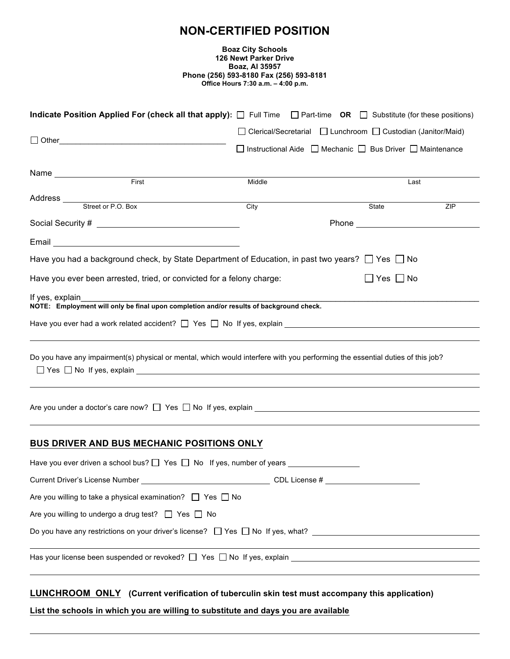# **NON-CERTIFIED POSITION**

#### **Boaz City Schools 126 Newt Parker Drive Boaz, Al 35957 Phone (256) 593-8180 Fax (256) 593-8181 Office Hours 7:30 a.m. – 4:00 p.m.**

| Indicate Position Applied For (check all that apply): $\Box$ Full Time $\Box$ Part-time OR $\Box$ Substitute (for these positions)                                           |        |  |  |                      |                                                                                |  |  |
|------------------------------------------------------------------------------------------------------------------------------------------------------------------------------|--------|--|--|----------------------|--------------------------------------------------------------------------------|--|--|
|                                                                                                                                                                              |        |  |  |                      | □ Clerical/Secretarial □ Lunchroom □ Custodian (Janitor/Maid)                  |  |  |
|                                                                                                                                                                              |        |  |  |                      | $\Box$ Instructional Aide $\Box$ Mechanic $\Box$ Bus Driver $\Box$ Maintenance |  |  |
|                                                                                                                                                                              |        |  |  |                      |                                                                                |  |  |
| First                                                                                                                                                                        | Middle |  |  |                      | Last                                                                           |  |  |
| Address<br>Street or P.O. Box                                                                                                                                                |        |  |  |                      |                                                                                |  |  |
|                                                                                                                                                                              | City   |  |  | State                | ZIP                                                                            |  |  |
|                                                                                                                                                                              |        |  |  |                      |                                                                                |  |  |
| Email <u>_________________________________</u>                                                                                                                               |        |  |  |                      |                                                                                |  |  |
| Have you had a background check, by State Department of Education, in past two years? $\Box$ Yes $\Box$ No                                                                   |        |  |  |                      |                                                                                |  |  |
| Have you ever been arrested, tried, or convicted for a felony charge:                                                                                                        |        |  |  | $\Box$ Yes $\Box$ No |                                                                                |  |  |
| If yes, explain                                                                                                                                                              |        |  |  |                      |                                                                                |  |  |
| NOTE: Employment will only be final upon completion and/or results of background check.                                                                                      |        |  |  |                      |                                                                                |  |  |
|                                                                                                                                                                              |        |  |  |                      |                                                                                |  |  |
| Do you have any impairment(s) physical or mental, which would interfere with you performing the essential duties of this job?<br>$\Box$ Yes $\Box$ No If yes, explain $\Box$ |        |  |  |                      |                                                                                |  |  |
|                                                                                                                                                                              |        |  |  |                      |                                                                                |  |  |
| BUS DRIVER AND BUS MECHANIC POSITIONS ONLY                                                                                                                                   |        |  |  |                      |                                                                                |  |  |
|                                                                                                                                                                              |        |  |  |                      |                                                                                |  |  |
| Current Driver's License Number CDL License #                                                                                                                                |        |  |  |                      |                                                                                |  |  |
| Are you willing to take a physical examination? $\Box$ Yes $\Box$ No                                                                                                         |        |  |  |                      |                                                                                |  |  |
| Are you willing to undergo a drug test? $\Box$ Yes $\Box$ No                                                                                                                 |        |  |  |                      |                                                                                |  |  |
|                                                                                                                                                                              |        |  |  |                      |                                                                                |  |  |
| Has your license been suspended or revoked? $\square$ Yes $\square$ No If yes, explain                                                                                       |        |  |  |                      |                                                                                |  |  |
|                                                                                                                                                                              |        |  |  |                      |                                                                                |  |  |
|                                                                                                                                                                              |        |  |  |                      |                                                                                |  |  |

## **LUNCHROOM ONLY (Current verification of tuberculin skin test must accompany this application)**

**List the schools in which you are willing to substitute and days you are available**